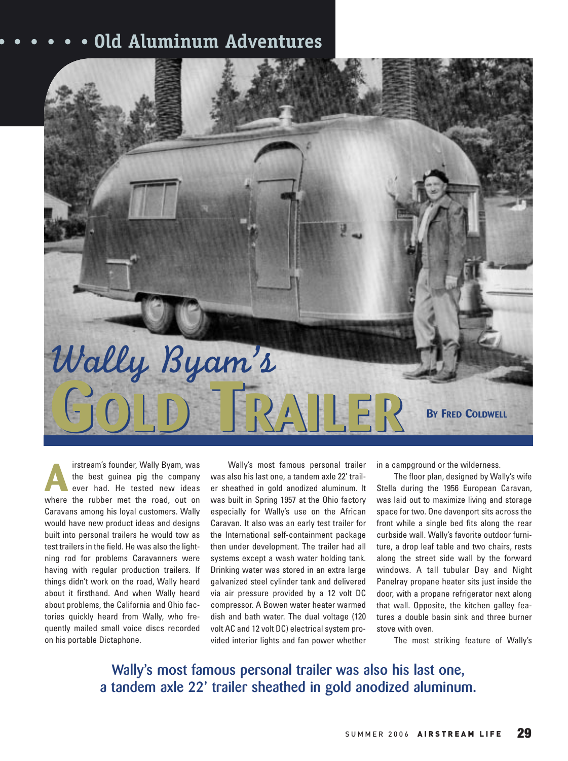## • • • • • • **Old Aluminum Adventures**



**A**<br>instream's founder, Wally Byam, was<br>the best guinea pig the company<br>ever had. He tested new ideas the best guinea pig the company where the rubber met the road, out on Caravans among his loyal customers. Wally would have new product ideas and designs built into personal trailers he would tow as test trailers in the field. He was also the lightning rod for problems Caravanners were having with regular production trailers. If things didn't work on the road, Wally heard about it firsthand. And when Wally heard about problems, the California and Ohio factories quickly heard from Wally, who frequently mailed small voice discs recorded on his portable Dictaphone.

Wally's most famous personal trailer was also his last one, a tandem axle 22' trailer sheathed in gold anodized aluminum. It was built in Spring 1957 at the Ohio factory especially for Wally's use on the African Caravan. It also was an early test trailer for the International self-containment package then under development. The trailer had all systems except a wash water holding tank. Drinking water was stored in an extra large galvanized steel cylinder tank and delivered via air pressure provided by a 12 volt DC compressor. A Bowen water heater warmed dish and bath water. The dual voltage (120 volt AC and 12 volt DC) electrical system provided interior lights and fan power whether in a campground or the wilderness.

The floor plan, designed by Wally's wife Stella during the 1956 European Caravan, was laid out to maximize living and storage space for two. One davenport sits across the front while a single bed fits along the rear curbside wall. Wally's favorite outdoor furniture, a drop leaf table and two chairs, rests along the street side wall by the forward windows. A tall tubular Day and Night Panelray propane heater sits just inside the door, with a propane refrigerator next along that wall. Opposite, the kitchen galley features a double basin sink and three burner stove with oven.

The most striking feature of Wally's

## **Wally's most famous personal trailer was also his last one, a tandem axle 22' trailer sheathed in gold anodized aluminum.**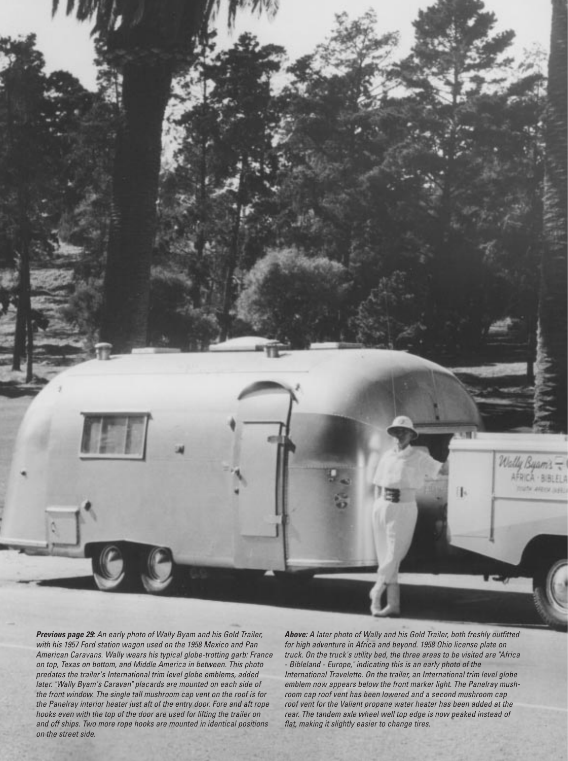

**Previous page 29:** An early photo of Wally Byam and his Gold Trailer, with his 1957 Ford station wagon used on the 1958 Mexico and Pan American Caravans. Wally wears his typical globe-trotting garb: France on top, Texas on bottom, and Middle America in between. This photo predates the trailer's International trim level globe emblems, added later. "Wally Byam's Caravan" placards are mounted on each side of the front window. The single tall mushroom cap vent on the roof is for the Panelray interior heater just aft of the entry door. Fore and aft rope hooks even with the top of the door are used for lifting the trailer on and off ships. Two more rope hooks are mounted in identical positions on the street side.

**Above:** A later photo of Wally and his Gold Trailer, both freshly outfitted for high adventure in Africa and beyond. 1958 Ohio license plate on truck. On the truck's utility bed, the three areas to be visited are "Africa - Bibleland - Europe," indicating this is an early photo of the International Travelette. On the trailer, an International trim level globe emblem now appears below the front marker light. The Panelray mushroom cap roof vent has been lowered and a second mushroom cap roof vent for the Valiant propane water heater has been added at the rear. The tandem axle wheel well top edge is now peaked instead of flat, making it slightly easier to change tires.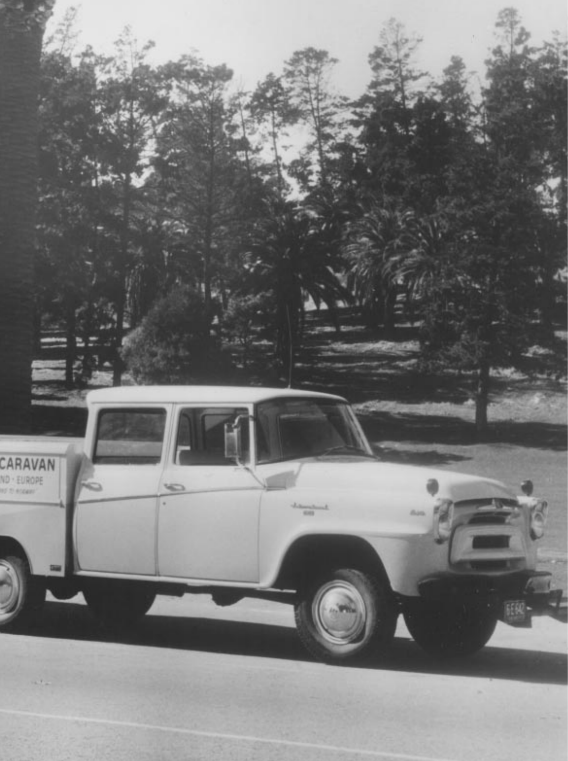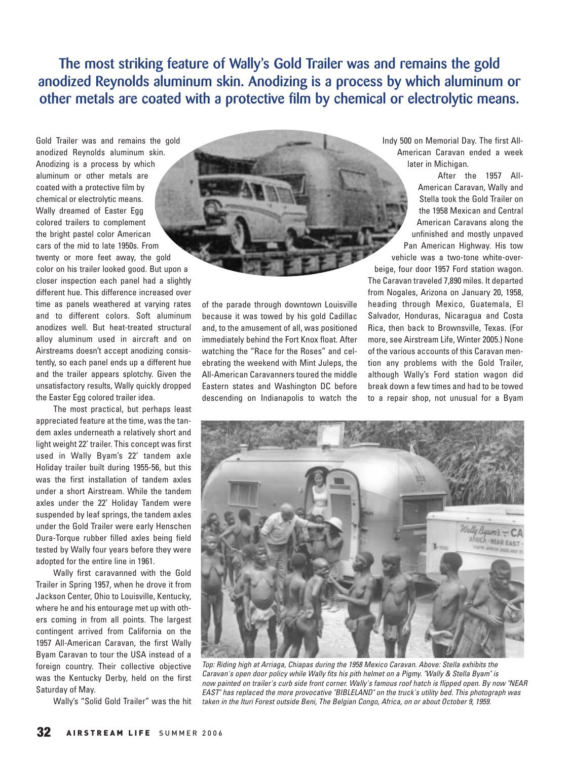**The most striking feature of Wally's Gold Trailer was and remains the gold anodized Reynolds aluminum skin. Anodizing is a process by which aluminum or other metals are coated with a protective film by chemical or electrolytic means.**

Gold Trailer was and remains the gold anodized Reynolds aluminum skin. Anodizing is a process by which aluminum or other metals are coated with a protective film by chemical or electrolytic means. Wally dreamed of Easter Egg colored trailers to complement the bright pastel color American cars of the mid to late 1950s. From twenty or more feet away, the gold color on his trailer looked good. But upon a closer inspection each panel had a slightly different hue. This difference increased over time as panels weathered at varying rates and to different colors. Soft aluminum anodizes well. But heat-treated structural alloy aluminum used in aircraft and on Airstreams doesn't accept anodizing consistently, so each panel ends up a different hue and the trailer appears splotchy. Given the unsatisfactory results, Wally quickly dropped the Easter Egg colored trailer idea.

The most practical, but perhaps least appreciated feature at the time, was the tandem axles underneath a relatively short and light weight 22' trailer. This concept was first used in Wally Byam's 22' tandem axle Holiday trailer built during 1955-56, but this was the first installation of tandem axles under a short Airstream. While the tandem axles under the 22' Holiday Tandem were suspended by leaf springs, the tandem axles under the Gold Trailer were early Henschen Dura-Torque rubber filled axles being field tested by Wally four years before they were adopted for the entire line in 1961.

Wally first caravanned with the Gold Trailer in Spring 1957, when he drove it from Jackson Center, Ohio to Louisville, Kentucky, where he and his entourage met up with others coming in from all points. The largest contingent arrived from California on the 1957 All-American Caravan, the first Wally Byam Caravan to tour the USA instead of a foreign country. Their collective objective was the Kentucky Derby, held on the first Saturday of May.

Wally's "Solid Gold Trailer" was the hit

of the parade through downtown Louisville because it was towed by his gold Cadillac and, to the amusement of all, was positioned immediately behind the Fort Knox float. After watching the "Race for the Roses" and celebrating the weekend with Mint Juleps, the All-American Caravanners toured the middle Eastern states and Washington DC before descending on Indianapolis to watch the Indy 500 on Memorial Day. The first All-American Caravan ended a week later in Michigan.

After the 1957 All-American Caravan, Wally and Stella took the Gold Trailer on the 1958 Mexican and Central American Caravans along the unfinished and mostly unpaved Pan American Highway. His tow vehicle was a two-tone white-over-

beige, four door 1957 Ford station wagon. The Caravan traveled 7,890 miles. It departed from Nogales, Arizona on January 20, 1958, heading through Mexico, Guatemala, El Salvador, Honduras, Nicaragua and Costa Rica, then back to Brownsville, Texas. (For more, see Airstream Life, Winter 2005.) None of the various accounts of this Caravan mention any problems with the Gold Trailer, although Wally's Ford station wagon did break down a few times and had to be towed to a repair shop, not unusual for a Byam



Top: Riding high at Arriaga, Chiapas during the 1958 Mexico Caravan. Above: Stella exhibits the Caravan's open door policy while Wally fits his pith helmet on a Pigmy. "Wally & Stella Byam" is now painted on trailer's curb side front corner. Wally's famous roof hatch is flipped open. By now "NEAR EAST" has replaced the more provocative "BIBLELAND" on the truck's utility bed. This photograph was taken in the Ituri Forest outside Beni, The Belgian Congo, Africa, on or about October 9, 1959.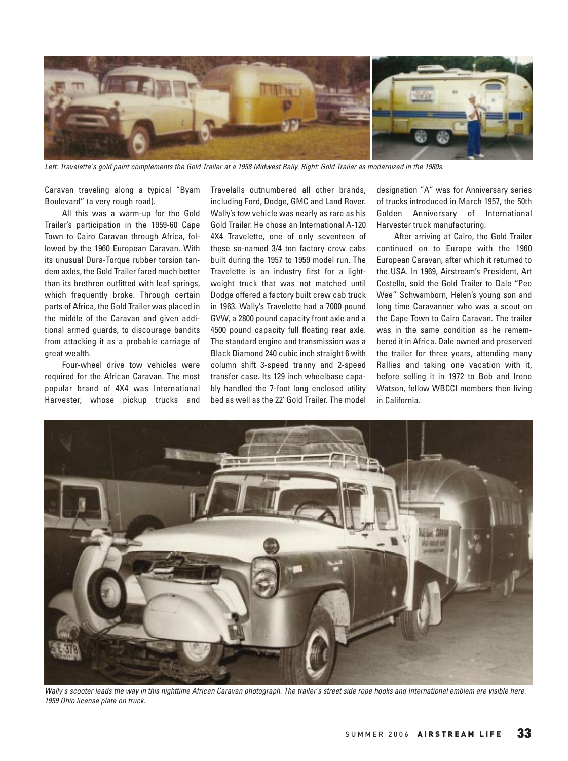

Left: Travelette's gold paint complements the Gold Trailer at a 1958 Midwest Rally. Right: Gold Trailer as modernized in the 1980s.

Caravan traveling along a typical "Byam Boulevard" (a very rough road).

All this was a warm-up for the Gold Trailer's participation in the 1959-60 Cape Town to Cairo Caravan through Africa, followed by the 1960 European Caravan. With its unusual Dura-Torque rubber torsion tandem axles, the Gold Trailer fared much better than its brethren outfitted with leaf springs, which frequently broke. Through certain parts of Africa, the Gold Trailer was placed in the middle of the Caravan and given additional armed guards, to discourage bandits from attacking it as a probable carriage of great wealth.

Four-wheel drive tow vehicles were required for the African Caravan. The most popular brand of 4X4 was International Harvester, whose pickup trucks and Travelalls outnumbered all other brands, including Ford, Dodge, GMC and Land Rover. Wally's tow vehicle was nearly as rare as his Gold Trailer. He chose an International A-120 4X4 Travelette, one of only seventeen of these so-named 3/4 ton factory crew cabs built during the 1957 to 1959 model run. The Travelette is an industry first for a lightweight truck that was not matched until Dodge offered a factory built crew cab truck in 1963. Wally's Travelette had a 7000 pound GVW, a 2800 pound capacity front axle and a 4500 pound capacity full floating rear axle. The standard engine and transmission was a Black Diamond 240 cubic inch straight 6 with column shift 3-speed tranny and 2-speed transfer case. Its 129 inch wheelbase capably handled the 7-foot long enclosed utility bed as well as the 22' Gold Trailer. The model designation "A" was for Anniversary series of trucks introduced in March 1957, the 50th Golden Anniversary of International Harvester truck manufacturing.

After arriving at Cairo, the Gold Trailer continued on to Europe with the 1960 European Caravan, after which it returned to the USA. In 1969, Airstream's President, Art Costello, sold the Gold Trailer to Dale "Pee Wee" Schwamborn, Helen's young son and long time Caravanner who was a scout on the Cape Town to Cairo Caravan. The trailer was in the same condition as he remembered it in Africa. Dale owned and preserved the trailer for three years, attending many Rallies and taking one vacation with it, before selling it in 1972 to Bob and Irene Watson, fellow WBCCI members then living in California.



Wally's scooter leads the way in this nighttime African Caravan photograph. The trailer's street side rope hooks and International emblem are visible here. 1959 Ohio license plate on truck.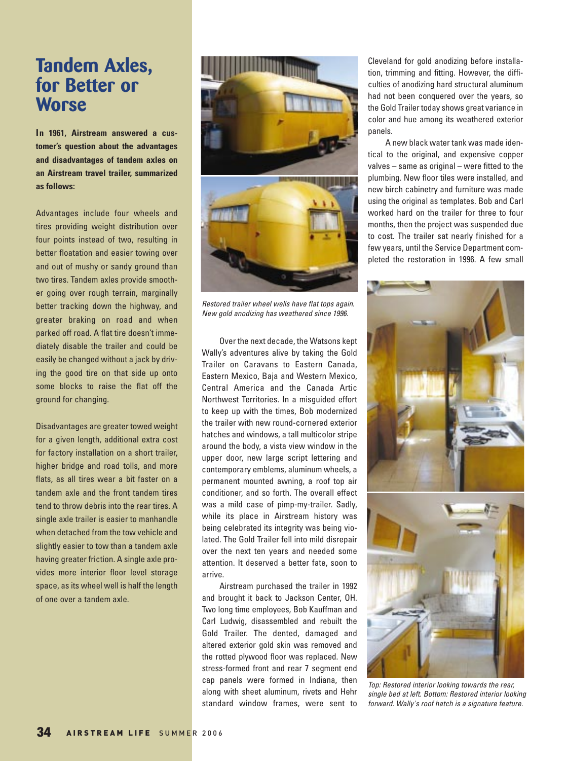## **Tandem Axles, for Better or Worse**

**In 1961, Airstream answered a customer's question about the advantages and disadvantages of tandem axles on an Airstream travel trailer, summarized as follows:** 

Advantages include four wheels and tires providing weight distribution over four points instead of two, resulting in better floatation and easier towing over and out of mushy or sandy ground than two tires. Tandem axles provide smoother going over rough terrain, marginally better tracking down the highway, and greater braking on road and when parked off road. A flat tire doesn't immediately disable the trailer and could be easily be changed without a jack by driving the good tire on that side up onto some blocks to raise the flat off the ground for changing.

Disadvantages are greater towed weight for a given length, additional extra cost for factory installation on a short trailer, higher bridge and road tolls, and more flats, as all tires wear a bit faster on a tandem axle and the front tandem tires tend to throw debris into the rear tires. A single axle trailer is easier to manhandle when detached from the tow vehicle and slightly easier to tow than a tandem axle having greater friction. A single axle provides more interior floor level storage space, as its wheel well is half the length of one over a tandem axle.



Restored trailer wheel wells have flat tops again. New gold anodizing has weathered since 1996.

Over the next decade, the Watsons kept Wally's adventures alive by taking the Gold Trailer on Caravans to Eastern Canada, Eastern Mexico, Baja and Western Mexico, Central America and the Canada Artic Northwest Territories. In a misguided effort to keep up with the times, Bob modernized the trailer with new round-cornered exterior hatches and windows, a tall multicolor stripe around the body, a vista view window in the upper door, new large script lettering and contemporary emblems, aluminum wheels, a permanent mounted awning, a roof top air conditioner, and so forth. The overall effect was a mild case of pimp-my-trailer. Sadly, while its place in Airstream history was being celebrated its integrity was being violated. The Gold Trailer fell into mild disrepair over the next ten years and needed some attention. It deserved a better fate, soon to arrive.

Airstream purchased the trailer in 1992 and brought it back to Jackson Center, OH. Two long time employees, Bob Kauffman and Carl Ludwig, disassembled and rebuilt the Gold Trailer. The dented, damaged and altered exterior gold skin was removed and the rotted plywood floor was replaced. New stress-formed front and rear 7 segment end cap panels were formed in Indiana, then along with sheet aluminum, rivets and Hehr standard window frames, were sent to Cleveland for gold anodizing before installation, trimming and fitting. However, the difficulties of anodizing hard structural aluminum had not been conquered over the years, so the Gold Trailer today shows great variance in color and hue among its weathered exterior panels.

A new black water tank was made identical to the original, and expensive copper valves – same as original – were fitted to the plumbing. New floor tiles were installed, and new birch cabinetry and furniture was made using the original as templates. Bob and Carl worked hard on the trailer for three to four months, then the project was suspended due to cost. The trailer sat nearly finished for a few years, until the Service Department completed the restoration in 1996. A few small



Top: Restored interior looking towards the rear, single bed at left. Bottom: Restored interior looking forward. Wally's roof hatch is a signature feature.